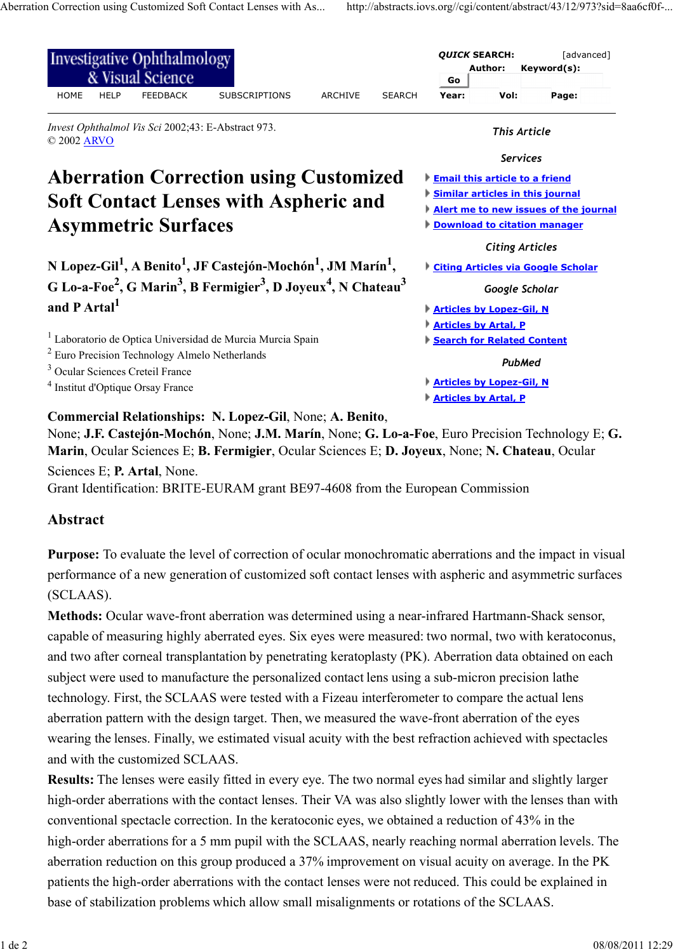| <b>Investigative Ophthalmology</b><br>& Visual Science                                                                                                                                                                                     | <b>QUICK SEARCH:</b><br><b>Author:</b>                                                |                                                                                                                                                           | [advanced]<br>Keyword(s): |  |
|--------------------------------------------------------------------------------------------------------------------------------------------------------------------------------------------------------------------------------------------|---------------------------------------------------------------------------------------|-----------------------------------------------------------------------------------------------------------------------------------------------------------|---------------------------|--|
| <b>HOME</b><br><b>HELP</b><br><b>FEEDBACK</b><br><b>SUBSCRIPTIONS</b><br><b>ARCHIVE</b><br><b>SEARCH</b>                                                                                                                                   | Go<br>Year:                                                                           | Vol:                                                                                                                                                      | Page:                     |  |
| Invest Ophthalmol Vis Sci 2002;43: E-Abstract 973.<br>© 2002 ARVO                                                                                                                                                                          | <b>This Article</b><br><b>Services</b>                                                |                                                                                                                                                           |                           |  |
|                                                                                                                                                                                                                                            |                                                                                       |                                                                                                                                                           |                           |  |
| <b>Aberration Correction using Customized</b><br><b>Soft Contact Lenses with Aspheric and</b><br><b>Asymmetric Surfaces</b>                                                                                                                |                                                                                       | <b>Email this article to a friend</b><br>Similar articles in this journal<br>Alert me to new issues of the journal<br><b>Download to citation manager</b> |                           |  |
| N Lopez-Gil <sup>1</sup> , A Benito <sup>1</sup> , JF Castejón-Mochón <sup>1</sup> , JM Marín <sup>1</sup> ,<br>G Lo-a-Foe <sup>2</sup> , G Marin <sup>3</sup> , B Fermigier <sup>3</sup> , D Joyeux <sup>4</sup> , N Chateau <sup>3</sup> | <b>Citing Articles</b><br><b>Citing Articles via Google Scholar</b><br>Google Scholar |                                                                                                                                                           |                           |  |
| and P Artal <sup>1</sup>                                                                                                                                                                                                                   | <b>Articles by Lopez-Gil, N</b><br><b>Articles by Artal, P</b>                        |                                                                                                                                                           |                           |  |
| Laboratorio de Optica Universidad de Murcia Murcia Spain                                                                                                                                                                                   | Search for Related Content                                                            |                                                                                                                                                           |                           |  |
| $2$ Euro Precision Technology Almelo Netherlands<br><sup>3</sup> Ocular Sciences Creteil France                                                                                                                                            | <b>PubMed</b>                                                                         |                                                                                                                                                           |                           |  |
| <sup>4</sup> Institut d'Optique Orsay France                                                                                                                                                                                               | <b>Articles by Lopez-Gil, N</b><br><b>Articles by Artal, P</b>                        |                                                                                                                                                           |                           |  |

**Commercial Relationships: N. Lopez-Gil**, None; **A. Benito**,

None; **J.F. Castejón-Mochón**, None; **J.M. Marín**, None; **G. Lo-a-Foe**, Euro Precision Technology E; **G. Marin**, Ocular Sciences E; **B. Fermigier**, Ocular Sciences E; **D. Joyeux**, None; **N. Chateau**, Ocular

Sciences E; **P. Artal**, None.

Grant Identification: BRITE-EURAM grant BE97-4608 from the European Commission

## **Abstract**

**Purpose:** To evaluate the level of correction of ocular monochromatic aberrations and the impact in visual performance of a new generation of customized soft contact lenses with aspheric and asymmetric surfaces (SCLAAS).

**Methods:** Ocular wave-front aberration was determined using a near-infrared Hartmann-Shack sensor, capable of measuring highly aberrated eyes. Six eyes were measured: two normal, two with keratoconus, and two after corneal transplantation by penetrating keratoplasty (PK). Aberration data obtained on each subject were used to manufacture the personalized contact lens using a sub-micron precision lathe technology. First, the SCLAAS were tested with a Fizeau interferometer to compare the actual lens aberration pattern with the design target. Then, we measured the wave-front aberration of the eyes wearing the lenses. Finally, we estimated visual acuity with the best refraction achieved with spectacles and with the customized SCLAAS.

**Results:** The lenses were easily fitted in every eye. The two normal eyes had similar and slightly larger high-order aberrations with the contact lenses. Their VA was also slightly lower with the lenses than with conventional spectacle correction. In the keratoconic eyes, we obtained a reduction of 43% in the high-order aberrations for a 5 mm pupil with the SCLAAS, nearly reaching normal aberration levels. The aberration reduction on this group produced a 37% improvement on visual acuity on average. In the PK patients the high-order aberrations with the contact lenses were not reduced. This could be explained in base of stabilization problems which allow small misalignments or rotations of the SCLAAS.